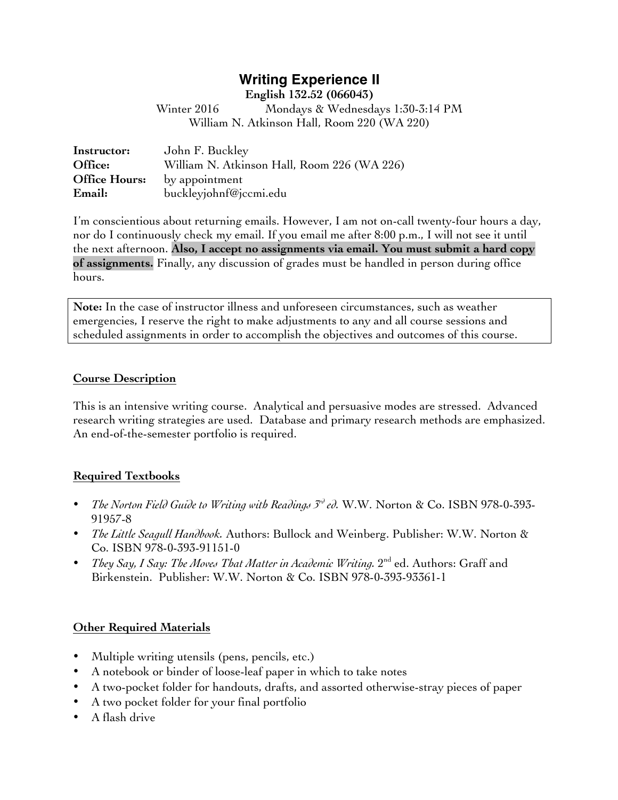# **Writing Experience II**

**English 132.52 (066043)**

Winter 2016 Mondays & Wednesdays 1:30-3:14 PM William N. Atkinson Hall, Room 220 (WA 220)

| Instructor:          | John F. Buckley                             |
|----------------------|---------------------------------------------|
| Office:              | William N. Atkinson Hall, Room 226 (WA 226) |
| <b>Office Hours:</b> | by appointment                              |
| Email:               | buckleyjohnf@jccmi.edu                      |

I'm conscientious about returning emails. However, I am not on-call twenty-four hours a day, nor do I continuously check my email. If you email me after 8:00 p.m., I will not see it until the next afternoon. **Also, I accept no assignments via email. You must submit a hard copy of assignments.** Finally, any discussion of grades must be handled in person during office hours.

**Note:** In the case of instructor illness and unforeseen circumstances, such as weather emergencies, I reserve the right to make adjustments to any and all course sessions and scheduled assignments in order to accomplish the objectives and outcomes of this course.

#### **Course Description**

This is an intensive writing course. Analytical and persuasive modes are stressed. Advanced research writing strategies are used. Database and primary research methods are emphasized. An end-of-the-semester portfolio is required.

## **Required Textbooks**

- *The Norton Field Guide to Writing with Readings 3rd ed.* W.W. Norton & Co. ISBN 978-0-393- 91957-8
- *The Little Seagull Handbook.* Authors: Bullock and Weinberg. Publisher: W.W. Norton & Co. ISBN 978-0-393-91151-0
- *They Say, I Say: The Moves That Matter in Academic Writing.* 2<sup>nd</sup> ed. Authors: Graff and Birkenstein. Publisher: W.W. Norton & Co. ISBN 978-0-393-93361-1

## **Other Required Materials**

- Multiple writing utensils (pens, pencils, etc.)
- A notebook or binder of loose-leaf paper in which to take notes
- A two-pocket folder for handouts, drafts, and assorted otherwise-stray pieces of paper
- A two pocket folder for your final portfolio
- A flash drive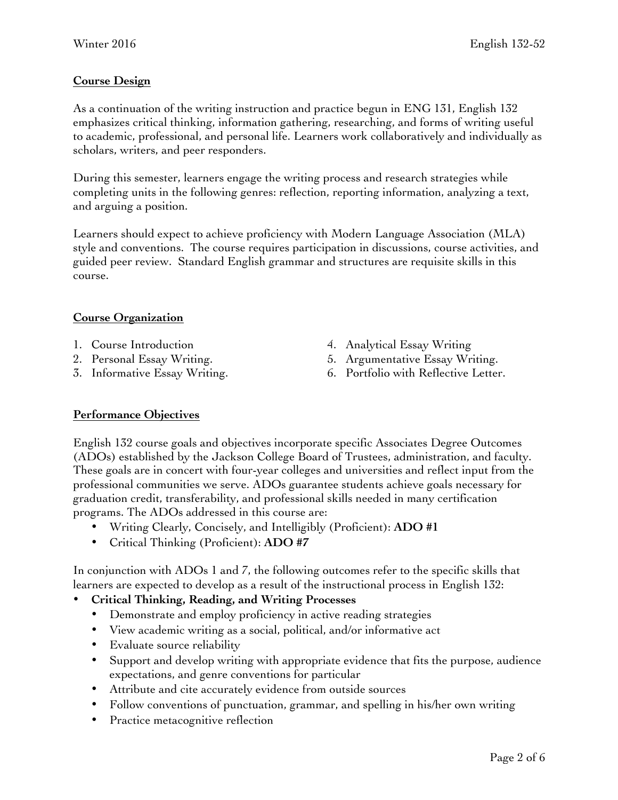# **Course Design**

As a continuation of the writing instruction and practice begun in ENG 131, English 132 emphasizes critical thinking, information gathering, researching, and forms of writing useful to academic, professional, and personal life. Learners work collaboratively and individually as scholars, writers, and peer responders.

During this semester, learners engage the writing process and research strategies while completing units in the following genres: reflection, reporting information, analyzing a text, and arguing a position.

Learners should expect to achieve proficiency with Modern Language Association (MLA) style and conventions. The course requires participation in discussions, course activities, and guided peer review. Standard English grammar and structures are requisite skills in this course.

## **Course Organization**

- 1. Course Introduction
- 2. Personal Essay Writing.
- 3. Informative Essay Writing.
- 4. Analytical Essay Writing
- 5. Argumentative Essay Writing.
- 6. Portfolio with Reflective Letter.

## **Performance Objectives**

English 132 course goals and objectives incorporate specific Associates Degree Outcomes (ADOs) established by the Jackson College Board of Trustees, administration, and faculty. These goals are in concert with four-year colleges and universities and reflect input from the professional communities we serve. ADOs guarantee students achieve goals necessary for graduation credit, transferability, and professional skills needed in many certification programs. The ADOs addressed in this course are:

- Writing Clearly, Concisely, and Intelligibly (Proficient): **ADO #1**
- Critical Thinking (Proficient): **ADO #7**

In conjunction with ADOs 1 and 7, the following outcomes refer to the specific skills that learners are expected to develop as a result of the instructional process in English 132:

## • **Critical Thinking, Reading, and Writing Processes**

- Demonstrate and employ proficiency in active reading strategies
- View academic writing as a social, political, and/or informative act
- Evaluate source reliability
- Support and develop writing with appropriate evidence that fits the purpose, audience expectations, and genre conventions for particular
- Attribute and cite accurately evidence from outside sources
- Follow conventions of punctuation, grammar, and spelling in his/her own writing
- Practice metacognitive reflection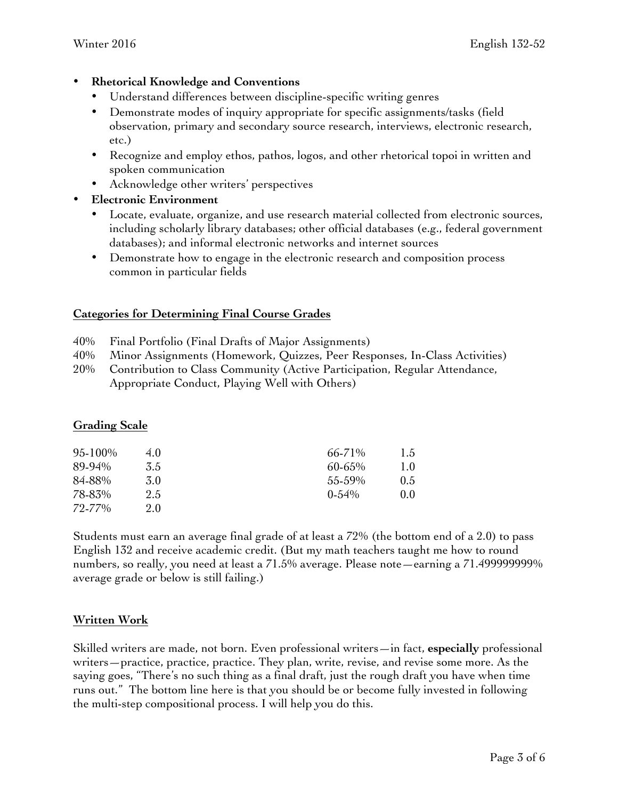## • **Rhetorical Knowledge and Conventions**

- Understand differences between discipline-specific writing genres
- Demonstrate modes of inquiry appropriate for specific assignments/tasks (field observation, primary and secondary source research, interviews, electronic research, etc.)
- Recognize and employ ethos, pathos, logos, and other rhetorical topoi in written and spoken communication
- Acknowledge other writers' perspectives
- **Electronic Environment**
	- Locate, evaluate, organize, and use research material collected from electronic sources, including scholarly library databases; other official databases (e.g., federal government databases); and informal electronic networks and internet sources
	- Demonstrate how to engage in the electronic research and composition process common in particular fields

## **Categories for Determining Final Course Grades**

- 40% Final Portfolio (Final Drafts of Major Assignments)
- 40% Minor Assignments (Homework, Quizzes, Peer Responses, In-Class Activities)
- 20% Contribution to Class Community (Active Participation, Regular Attendance, Appropriate Conduct, Playing Well with Others)

## **Grading Scale**

| 95-100% | 4.0 | 66-71%   | 1.5           |
|---------|-----|----------|---------------|
| 89-94%  | 3.5 | 60-65%   | $1.0^{\circ}$ |
| 84-88%  | 3.0 | 55-59%   | $0.5^{\circ}$ |
| 78-83%  | 2.5 | $0.54\%$ | 0.0           |
| 72-77%  | 2.0 |          |               |

Students must earn an average final grade of at least a 72% (the bottom end of a 2.0) to pass English 132 and receive academic credit. (But my math teachers taught me how to round numbers, so really, you need at least a 71.5% average. Please note—earning a 71.499999999% average grade or below is still failing.)

## **Written Work**

Skilled writers are made, not born. Even professional writers—in fact, **especially** professional writers—practice, practice, practice. They plan, write, revise, and revise some more. As the saying goes, "There's no such thing as a final draft, just the rough draft you have when time runs out." The bottom line here is that you should be or become fully invested in following the multi-step compositional process. I will help you do this.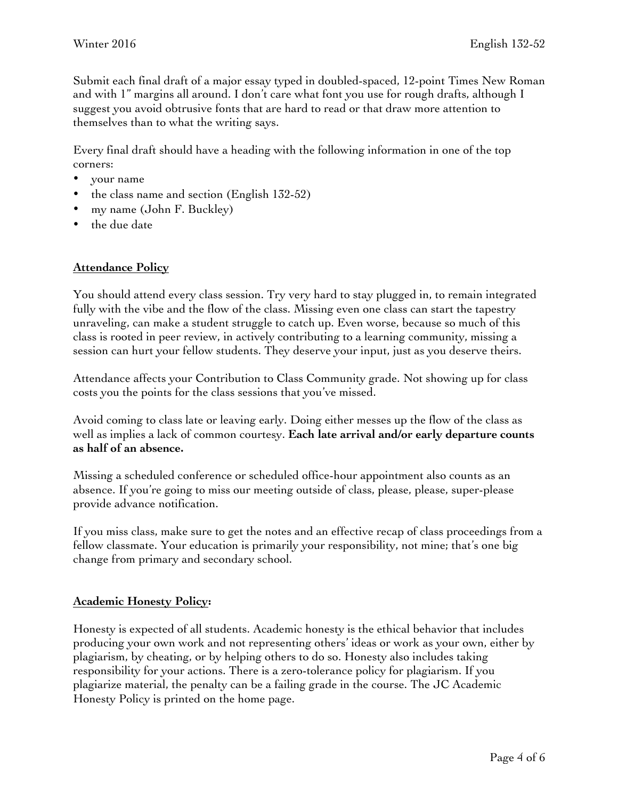Submit each final draft of a major essay typed in doubled-spaced, 12-point Times New Roman and with 1" margins all around. I don't care what font you use for rough drafts, although I suggest you avoid obtrusive fonts that are hard to read or that draw more attention to themselves than to what the writing says.

Every final draft should have a heading with the following information in one of the top corners:

- your name
- the class name and section (English 132-52)
- my name (John F. Buckley)
- the due date

#### **Attendance Policy**

You should attend every class session. Try very hard to stay plugged in, to remain integrated fully with the vibe and the flow of the class. Missing even one class can start the tapestry unraveling, can make a student struggle to catch up. Even worse, because so much of this class is rooted in peer review, in actively contributing to a learning community, missing a session can hurt your fellow students. They deserve your input, just as you deserve theirs.

Attendance affects your Contribution to Class Community grade. Not showing up for class costs you the points for the class sessions that you've missed.

Avoid coming to class late or leaving early. Doing either messes up the flow of the class as well as implies a lack of common courtesy. **Each late arrival and/or early departure counts as half of an absence.** 

Missing a scheduled conference or scheduled office-hour appointment also counts as an absence. If you're going to miss our meeting outside of class, please, please, super-please provide advance notification.

If you miss class, make sure to get the notes and an effective recap of class proceedings from a fellow classmate. Your education is primarily your responsibility, not mine; that's one big change from primary and secondary school.

#### **Academic Honesty Policy:**

Honesty is expected of all students. Academic honesty is the ethical behavior that includes producing your own work and not representing others' ideas or work as your own, either by plagiarism, by cheating, or by helping others to do so. Honesty also includes taking responsibility for your actions. There is a zero-tolerance policy for plagiarism. If you plagiarize material, the penalty can be a failing grade in the course. The JC Academic Honesty Policy is printed on the home page.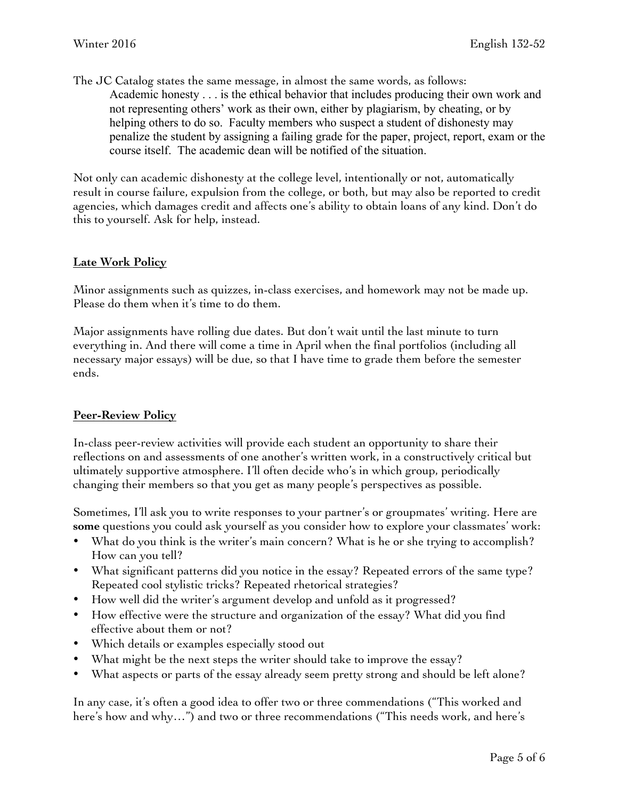The JC Catalog states the same message, in almost the same words, as follows: Academic honesty . . . is the ethical behavior that includes producing their own work and not representing others' work as their own, either by plagiarism, by cheating, or by helping others to do so. Faculty members who suspect a student of dishonesty may penalize the student by assigning a failing grade for the paper, project, report, exam or the course itself. The academic dean will be notified of the situation.

Not only can academic dishonesty at the college level, intentionally or not, automatically result in course failure, expulsion from the college, or both, but may also be reported to credit agencies, which damages credit and affects one's ability to obtain loans of any kind. Don't do this to yourself. Ask for help, instead.

#### **Late Work Policy**

Minor assignments such as quizzes, in-class exercises, and homework may not be made up. Please do them when it's time to do them.

Major assignments have rolling due dates. But don't wait until the last minute to turn everything in. And there will come a time in April when the final portfolios (including all necessary major essays) will be due, so that I have time to grade them before the semester ends.

#### **Peer-Review Policy**

In-class peer-review activities will provide each student an opportunity to share their reflections on and assessments of one another's written work, in a constructively critical but ultimately supportive atmosphere. I'll often decide who's in which group, periodically changing their members so that you get as many people's perspectives as possible.

Sometimes, I'll ask you to write responses to your partner's or groupmates' writing. Here are **some** questions you could ask yourself as you consider how to explore your classmates' work:

- What do you think is the writer's main concern? What is he or she trying to accomplish? How can you tell?
- What significant patterns did you notice in the essay? Repeated errors of the same type? Repeated cool stylistic tricks? Repeated rhetorical strategies?
- How well did the writer's argument develop and unfold as it progressed?
- How effective were the structure and organization of the essay? What did you find effective about them or not?
- Which details or examples especially stood out
- What might be the next steps the writer should take to improve the essay?
- What aspects or parts of the essay already seem pretty strong and should be left alone?

In any case, it's often a good idea to offer two or three commendations ("This worked and here's how and why…") and two or three recommendations ("This needs work, and here's